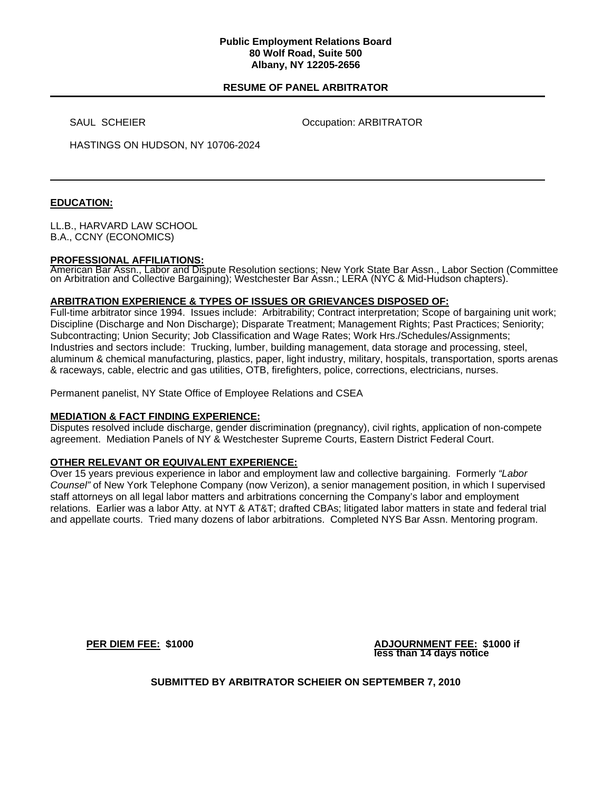### **Public Employment Relations Board 80 Wolf Road, Suite 500 Albany, NY 12205-2656**

## **RESUME OF PANEL ARBITRATOR**

SAUL SCHEIER **Occupation: ARBITRATOR** 

HASTINGS ON HUDSON, NY 10706-2024

# **EDUCATION:**

LL.B., HARVARD LAW SCHOOL B.A., CCNY (ECONOMICS)

#### **PROFESSIONAL AFFILIATIONS:**

American Bar Assn., Labor and Dispute Resolution sections; New York State Bar Assn., Labor Section (Committee on Arbitration and Collective Bargaining); Westchester Bar Assn.; LERA (NYC & Mid-Hudson chapters).

### **ARBITRATION EXPERIENCE & TYPES OF ISSUES OR GRIEVANCES DISPOSED OF:**

Full-time arbitrator since 1994. Issues include: Arbitrability; Contract interpretation; Scope of bargaining unit work; Discipline (Discharge and Non Discharge); Disparate Treatment; Management Rights; Past Practices; Seniority; Subcontracting; Union Security; Job Classification and Wage Rates; Work Hrs./Schedules/Assignments; Industries and sectors include: Trucking, lumber, building management, data storage and processing, steel, aluminum & chemical manufacturing, plastics, paper, light industry, military, hospitals, transportation, sports arenas & raceways, cable, electric and gas utilities, OTB, firefighters, police, corrections, electricians, nurses.

Permanent panelist, NY State Office of Employee Relations and CSEA

### **MEDIATION & FACT FINDING EXPERIENCE:**

Disputes resolved include discharge, gender discrimination (pregnancy), civil rights, application of non-compete agreement. Mediation Panels of NY & Westchester Supreme Courts, Eastern District Federal Court.

### **OTHER RELEVANT OR EQUIVALENT EXPERIENCE:**

Over 15 years previous experience in labor and employment law and collective bargaining. Formerly *"Labor Counsel"* of New York Telephone Company (now Verizon), a senior management position, in which I supervised staff attorneys on all legal labor matters and arbitrations concerning the Company's labor and employment relations. Earlier was a labor Atty. at NYT & AT&T; drafted CBAs; litigated labor matters in state and federal trial and appellate courts. Tried many dozens of labor arbitrations. Completed NYS Bar Assn. Mentoring program.

**PER DIEM FEE:** \$1000 **ADJOURNMENT FEE:** \$1000 if **less than 14 days notice** 

**SUBMITTED BY ARBITRATOR SCHEIER ON SEPTEMBER 7, 2010**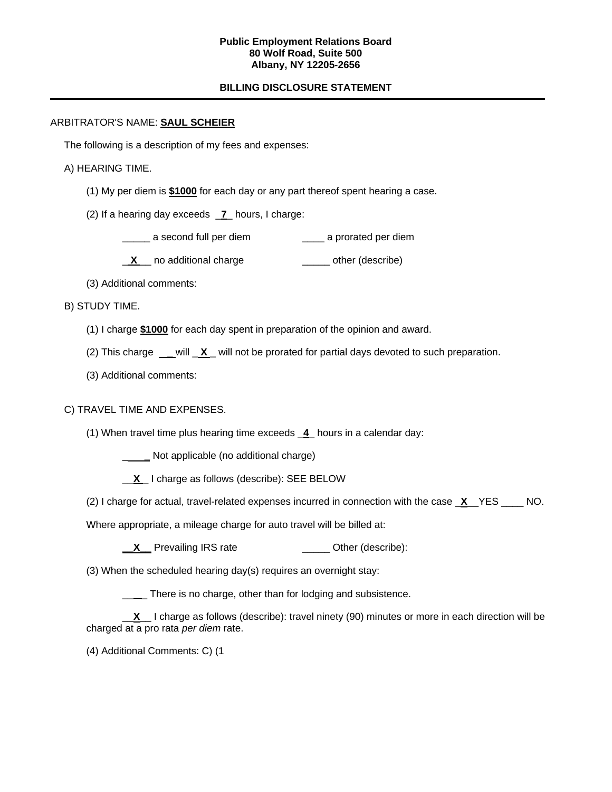### **Public Employment Relations Board 80 Wolf Road, Suite 500 Albany, NY 12205-2656**

# **BILLING DISCLOSURE STATEMENT**

## ARBITRATOR'S NAME: **SAUL SCHEIER**

The following is a description of my fees and expenses:

## A) HEARING TIME.

- (1) My per diem is **\$1000** for each day or any part thereof spent hearing a case.
- (2) If a hearing day exceeds \_**7**\_ hours, I charge:
	- \_\_\_\_\_ a second full per diem \_\_\_\_ a prorated per diem
	- **X** no additional charge **William** other (describe)
- (3) Additional comments:

## B) STUDY TIME.

- (1) I charge **\$1000** for each day spent in preparation of the opinion and award.
- (2) This charge **\_** will \_ **X** \_ will not be prorated for partial days devoted to such preparation.
- (3) Additional comments:

# C) TRAVEL TIME AND EXPENSES.

(1) When travel time plus hearing time exceeds \_**4**\_ hours in a calendar day:

\_ **\_** Not applicable (no additional charge)

- \_\_**X** \_ I charge as follows (describe): SEE BELOW
- (2) I charge for actual, travel-related expenses incurred in connection with the case \_**X**\_\_YES \_\_\_\_ NO.

Where appropriate, a mileage charge for auto travel will be billed at:

**X** Prevailing IRS rate **\_\_\_\_** Other (describe):

(3) When the scheduled hearing day(s) requires an overnight stay:

**There is no charge, other than for lodging and subsistence.** 

\_\_**X**\_\_ I charge as follows (describe): travel ninety (90) minutes or more in each direction will be charged at a pro rata *per diem* rate.

(4) Additional Comments: C) (1